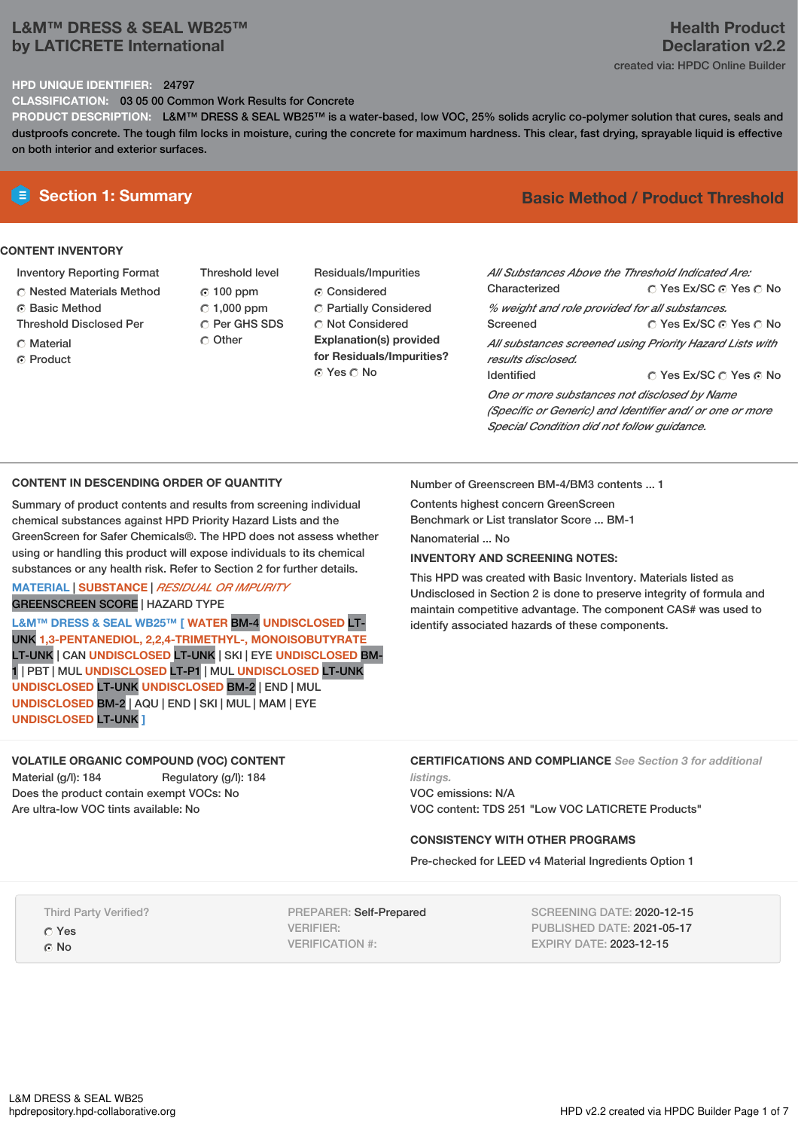# **L&M™ DRESS & SEAL WB25™ by LATICRETE International**

# **Health Product Declaration v2.2**

# created via: HPDC Online Builder

## **HPD UNIQUE IDENTIFIER:** 24797

**CLASSIFICATION:** 03 05 00 Common Work Results for Concrete

**PRODUCT DESCRIPTION:** L&M™ DRESS & SEAL WB25™ is a water-based, low VOC, 25% solids acrylic co-polymer solution that cures, seals and dustproofs concrete. The tough film locks in moisture, curing the concrete for maximum hardness. This clear, fast drying, sprayable liquid is effective on both interior and exterior surfaces.

## **CONTENT INVENTORY**

- Inventory Reporting Format
- Nested Materials Method
- Basic Method
- Threshold Disclosed Per
- Material
- **G** Product
- Threshold level 100 ppm 1,000 ppm C Per GHS SDS Other
- Residuals/Impurities Considered Partially Considered  $\bigcirc$  Not Considered **Explanation(s) provided for Residuals/Impurities?** ⊙ Yes O No

# **E** Section 1: Summary **Basic Method /** Product Threshold

| All Substances Above the Threshold Indicated Are:<br>Characterized | ∩ Yes Ex/SC ⊙ Yes ∩ No                                   |  |  |  |  |
|--------------------------------------------------------------------|----------------------------------------------------------|--|--|--|--|
| % weight and role provided for all substances.                     |                                                          |  |  |  |  |
| Screened                                                           | ∩ Yes Ex/SC ∩ Yes ∩ No                                   |  |  |  |  |
|                                                                    | All substances screened using Priority Hazard Lists with |  |  |  |  |
| results disclosed.                                                 |                                                          |  |  |  |  |
| <b>Identified</b>                                                  | ∩ Yes Ex/SC ∩ Yes ∩ No                                   |  |  |  |  |
| One or more substances not disclosed by Name                       |                                                          |  |  |  |  |
| (Specific or Generic) and Identifier and/ or one or more           |                                                          |  |  |  |  |
| Special Condition did not follow quidance.                         |                                                          |  |  |  |  |

## **CONTENT IN DESCENDING ORDER OF QUANTITY**

Summary of product contents and results from screening individual chemical substances against HPD Priority Hazard Lists and the GreenScreen for Safer Chemicals®. The HPD does not assess whether using or handling this product will expose individuals to its chemical substances or any health risk. Refer to Section 2 for further details.

# **MATERIAL** | **SUBSTANCE** | *RESIDUAL OR IMPURITY* GREENSCREEN SCORE | HAZARD TYPE

**L&M™ DRESS & SEAL WB25™ [ WATER** BM-4 **UNDISCLOSED** LT-UNK **1,3-PENTANEDIOL, 2,2,4-TRIMETHYL-, MONOISOBUTYRATE** LT-UNK | CAN **UNDISCLOSED** LT-UNK | SKI | EYE **UNDISCLOSED** BM-1 | PBT | MUL **UNDISCLOSED** LT-P1 | MUL **UNDISCLOSED** LT-UNK **UNDISCLOSED** LT-UNK **UNDISCLOSED** BM-2 | END | MUL **UNDISCLOSED** BM-2 | AQU | END | SKI | MUL | MAM | EYE **UNDISCLOSED** LT-UNK **]**

# **VOLATILE ORGANIC COMPOUND (VOC) CONTENT**

Material (g/l): 184 Regulatory (g/l): 184 Does the product contain exempt VOCs: No Are ultra-low VOC tints available: No

Number of Greenscreen BM-4/BM3 contents ... 1

Contents highest concern GreenScreen

Benchmark or List translator Score ... BM-1

Nanomaterial ... No

## **INVENTORY AND SCREENING NOTES:**

This HPD was created with Basic Inventory. Materials listed as Undisclosed in Section 2 is done to preserve integrity of formula and maintain competitive advantage. The component CAS# was used to identify associated hazards of these components.

**CERTIFICATIONS AND COMPLIANCE** *See Section 3 for additional listings.*

VOC emissions: N/A VOC content: TDS 251 "Low VOC LATICRETE Products"

## **CONSISTENCY WITH OTHER PROGRAMS**

Pre-checked for LEED v4 Material Ingredients Option 1

Third Party Verified?

Yes ⊙ No

PREPARER: Self-Prepared VERIFIER: VERIFICATION #:

SCREENING DATE: 2020-12-15 PUBLISHED DATE: 2021-05-17 EXPIRY DATE: 2023-12-15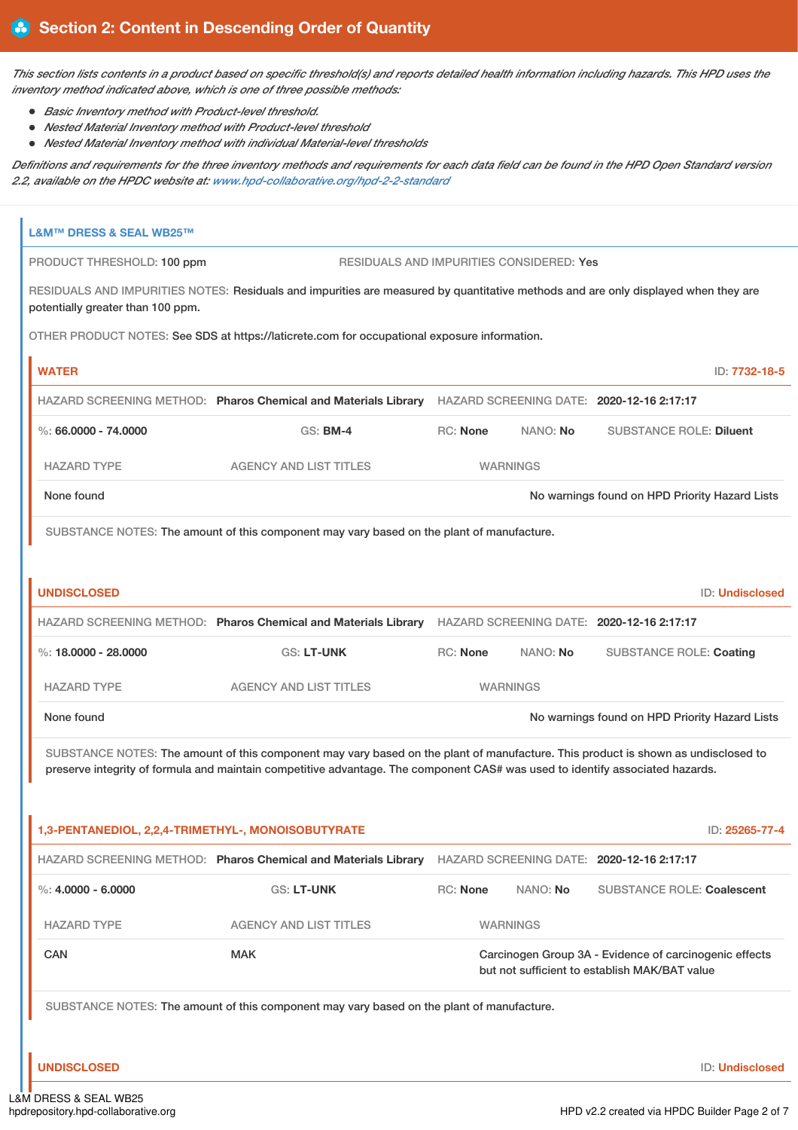This section lists contents in a product based on specific threshold(s) and reports detailed health information including hazards. This HPD uses the *inventory method indicated above, which is one of three possible methods:*

- *Basic Inventory method with Product-level threshold.*
- *Nested Material Inventory method with Product-level threshold*
- *Nested Material Inventory method with individual Material-level thresholds*

Definitions and requirements for the three inventory methods and requirements for each data field can be found in the HPD Open Standard version *2.2, available on the HPDC website at: [www.hpd-collaborative.org/hpd-2-2-standard](https://www.hpd-collaborative.org/hpd-2-2-standard)*

| L&M™ DRESS & SEAL WB25™                                      |                                                                                                                                    |                 |                 |                                                                                                         |  |  |
|--------------------------------------------------------------|------------------------------------------------------------------------------------------------------------------------------------|-----------------|-----------------|---------------------------------------------------------------------------------------------------------|--|--|
| PRODUCT THRESHOLD: 100 ppm                                   | RESIDUALS AND IMPURITIES CONSIDERED: Yes                                                                                           |                 |                 |                                                                                                         |  |  |
| potentially greater than 100 ppm.                            | RESIDUALS AND IMPURITIES NOTES: Residuals and impurities are measured by quantitative methods and are only displayed when they are |                 |                 |                                                                                                         |  |  |
|                                                              | OTHER PRODUCT NOTES: See SDS at https://laticrete.com for occupational exposure information.                                       |                 |                 |                                                                                                         |  |  |
| <b>WATER</b>                                                 |                                                                                                                                    |                 |                 | ID: 7732-18-5                                                                                           |  |  |
|                                                              | HAZARD SCREENING METHOD: Pharos Chemical and Materials Library HAZARD SCREENING DATE: 2020-12-16 2:17:17                           |                 |                 |                                                                                                         |  |  |
| $\%$ : 66.0000 - 74.0000                                     | <b>GS: BM-4</b>                                                                                                                    | <b>RC: None</b> | NANO: No        | <b>SUBSTANCE ROLE: Diluent</b>                                                                          |  |  |
| <b>HAZARD TYPE</b>                                           | <b>AGENCY AND LIST TITLES</b>                                                                                                      |                 | <b>WARNINGS</b> |                                                                                                         |  |  |
| None found                                                   |                                                                                                                                    |                 |                 | No warnings found on HPD Priority Hazard Lists                                                          |  |  |
|                                                              | SUBSTANCE NOTES: The amount of this component may vary based on the plant of manufacture.                                          |                 |                 |                                                                                                         |  |  |
|                                                              |                                                                                                                                    |                 |                 |                                                                                                         |  |  |
| <b>UNDISCLOSED</b>                                           |                                                                                                                                    |                 |                 | <b>ID: Undisclosed</b>                                                                                  |  |  |
|                                                              | HAZARD SCREENING METHOD: Pharos Chemical and Materials Library HAZARD SCREENING DATE: 2020-12-16 2:17:17                           |                 |                 |                                                                                                         |  |  |
| %: $18,0000 - 28,0000$                                       | <b>GS: LT-UNK</b>                                                                                                                  | <b>RC: None</b> | NANO: No        | <b>SUBSTANCE ROLE: Coating</b>                                                                          |  |  |
| <b>HAZARD TYPE</b>                                           | <b>AGENCY AND LIST TITLES</b>                                                                                                      |                 | <b>WARNINGS</b> |                                                                                                         |  |  |
| No warnings found on HPD Priority Hazard Lists<br>None found |                                                                                                                                    |                 |                 |                                                                                                         |  |  |
|                                                              | SUBSTANCE NOTES: The amount of this component may vary based on the plant of manufacture. This product is shown as undisclosed to  |                 |                 |                                                                                                         |  |  |
|                                                              | preserve integrity of formula and maintain competitive advantage. The component CAS# was used to identify associated hazards.      |                 |                 |                                                                                                         |  |  |
|                                                              |                                                                                                                                    |                 |                 |                                                                                                         |  |  |
| 1,3-PENTANEDIOL, 2,2,4-TRIMETHYL-, MONOISOBUTYRATE           |                                                                                                                                    |                 |                 | ID: 25265-77-4                                                                                          |  |  |
|                                                              | HAZARD SCREENING METHOD: Pharos Chemical and Materials Library                                                                     |                 |                 | HAZARD SCREENING DATE: 2020-12-16 2:17:17                                                               |  |  |
| $\%$ : 4.0000 - 6.0000                                       | <b>GS: LT-UNK</b>                                                                                                                  | <b>RC: None</b> | NANO: No        | <b>SUBSTANCE ROLE: Coalescent</b>                                                                       |  |  |
| <b>HAZARD TYPE</b>                                           | <b>AGENCY AND LIST TITLES</b>                                                                                                      |                 | <b>WARNINGS</b> |                                                                                                         |  |  |
| <b>CAN</b>                                                   | <b>MAK</b>                                                                                                                         |                 |                 | Carcinogen Group 3A - Evidence of carcinogenic effects<br>but not sufficient to establish MAK/BAT value |  |  |
|                                                              | SUBSTANCE NOTES: The amount of this component may vary based on the plant of manufacture.                                          |                 |                 |                                                                                                         |  |  |
|                                                              |                                                                                                                                    |                 |                 |                                                                                                         |  |  |
| <b>UNDISCLOSED</b>                                           |                                                                                                                                    |                 |                 | ID: Undisclosed                                                                                         |  |  |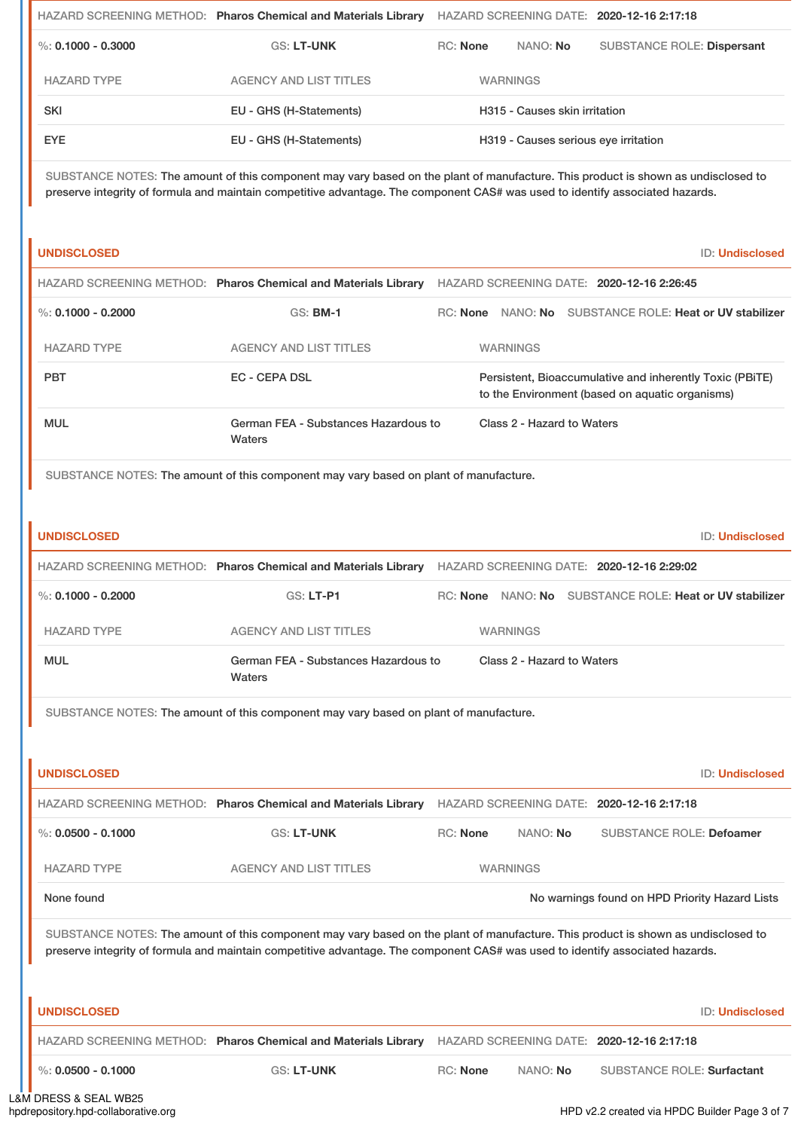|                        | HAZARD SCREENING METHOD: Pharos Chemical and Materials Library |                 |                                      | HAZARD SCREENING DATE: 2020-12-16 2:17:18 |
|------------------------|----------------------------------------------------------------|-----------------|--------------------------------------|-------------------------------------------|
| $\%$ : 0.1000 - 0.3000 | <b>GS: LT-UNK</b>                                              | <b>RC:</b> None | NANO: No                             | <b>SUBSTANCE ROLE: Dispersant</b>         |
| <b>HAZARD TYPE</b>     | <b>AGENCY AND LIST TITLES</b>                                  |                 | <b>WARNINGS</b>                      |                                           |
| <b>SKI</b>             | EU - GHS (H-Statements)                                        |                 | H315 - Causes skin irritation        |                                           |
| <b>EYE</b>             | EU - GHS (H-Statements)                                        |                 | H319 - Causes serious eye irritation |                                           |
|                        |                                                                |                 |                                      |                                           |

SUBSTANCE NOTES: The amount of this component may vary based on the plant of manufacture. This product is shown as undisclosed to preserve integrity of formula and maintain competitive advantage. The component CAS# was used to identify associated hazards.

**UNDISCLOSED** ID: **Undisclosed**

|                      | HAZARD SCREENING METHOD: Pharos Chemical and Materials Library | HAZARD SCREENING DATE: 2020-12-16 2:26:45                                                                   |
|----------------------|----------------------------------------------------------------|-------------------------------------------------------------------------------------------------------------|
| %: $0.1000 - 0.2000$ | <b>GS: BM-1</b>                                                | SUBSTANCE ROLE: Heat or UV stabilizer<br>NANO: <b>No</b><br><b>RC:</b> None                                 |
| <b>HAZARD TYPE</b>   | AGENCY AND LIST TITLES                                         | <b>WARNINGS</b>                                                                                             |
| <b>PBT</b>           | EC - CEPA DSL                                                  | Persistent, Bioaccumulative and inherently Toxic (PBITE)<br>to the Environment (based on aquatic organisms) |
| <b>MUL</b>           | German FEA - Substances Hazardous to<br>Waters                 | Class 2 - Hazard to Waters                                                                                  |

SUBSTANCE NOTES: The amount of this component may vary based on plant of manufacture.

| <b>UNDISCLOSED</b> |                                                                | ID: Undisclosed                                            |
|--------------------|----------------------------------------------------------------|------------------------------------------------------------|
|                    | HAZARD SCREENING METHOD: Pharos Chemical and Materials Library | HAZARD SCREENING DATE: 2020-12-16 2:29:02                  |
| %: 0.1000 - 0.2000 | $GS: LT-PI$                                                    | NANO: No SUBSTANCE ROLE: Heat or UV stabilizer<br>RC: None |
| <b>HAZARD TYPE</b> | AGENCY AND LIST TITLES                                         | <b>WARNINGS</b>                                            |
| <b>MUL</b>         | German FEA - Substances Hazardous to<br>Waters                 | Class 2 - Hazard to Waters                                 |

SUBSTANCE NOTES: The amount of this component may vary based on plant of manufacture.

| <b>UNDISCLOSED</b>   |                                                                                                                                                                                                                                                                    |                 |                 | <b>ID: Undisclosed</b>                         |
|----------------------|--------------------------------------------------------------------------------------------------------------------------------------------------------------------------------------------------------------------------------------------------------------------|-----------------|-----------------|------------------------------------------------|
|                      | HAZARD SCREENING METHOD: Pharos Chemical and Materials Library                                                                                                                                                                                                     |                 |                 | HAZARD SCREENING DATE: 2020-12-16 2:17:18      |
| %: $0.0500 - 0.1000$ | <b>GS: LT-UNK</b>                                                                                                                                                                                                                                                  | <b>RC:</b> None | NANO: <b>No</b> | SUBSTANCE ROLE: Defoamer                       |
| <b>HAZARD TYPE</b>   | AGENCY AND LIST TITLES                                                                                                                                                                                                                                             |                 | <b>WARNINGS</b> |                                                |
| None found           |                                                                                                                                                                                                                                                                    |                 |                 | No warnings found on HPD Priority Hazard Lists |
|                      | SUBSTANCE NOTES: The amount of this component may vary based on the plant of manufacture. This product is shown as undisclosed to<br>preserve integrity of formula and maintain competitive advantage. The component CAS# was used to identify associated hazards. |                 |                 |                                                |
|                      |                                                                                                                                                                                                                                                                    |                 |                 |                                                |
| <b>UNDISCLOSED</b>   |                                                                                                                                                                                                                                                                    |                 |                 | <b>ID: Undisclosed</b>                         |
|                      | HAZARD SCREENING METHOD: Pharos Chemical and Materials Library                                                                                                                                                                                                     |                 |                 | HAZARD SCREENING DATE: 2020-12-16 2:17:18      |
| %: $0.0500 - 0.1000$ | <b>GS: LT-UNK</b>                                                                                                                                                                                                                                                  | <b>RC:</b> None | NANO: No        | <b>SUBSTANCE ROLE: Surfactant</b>              |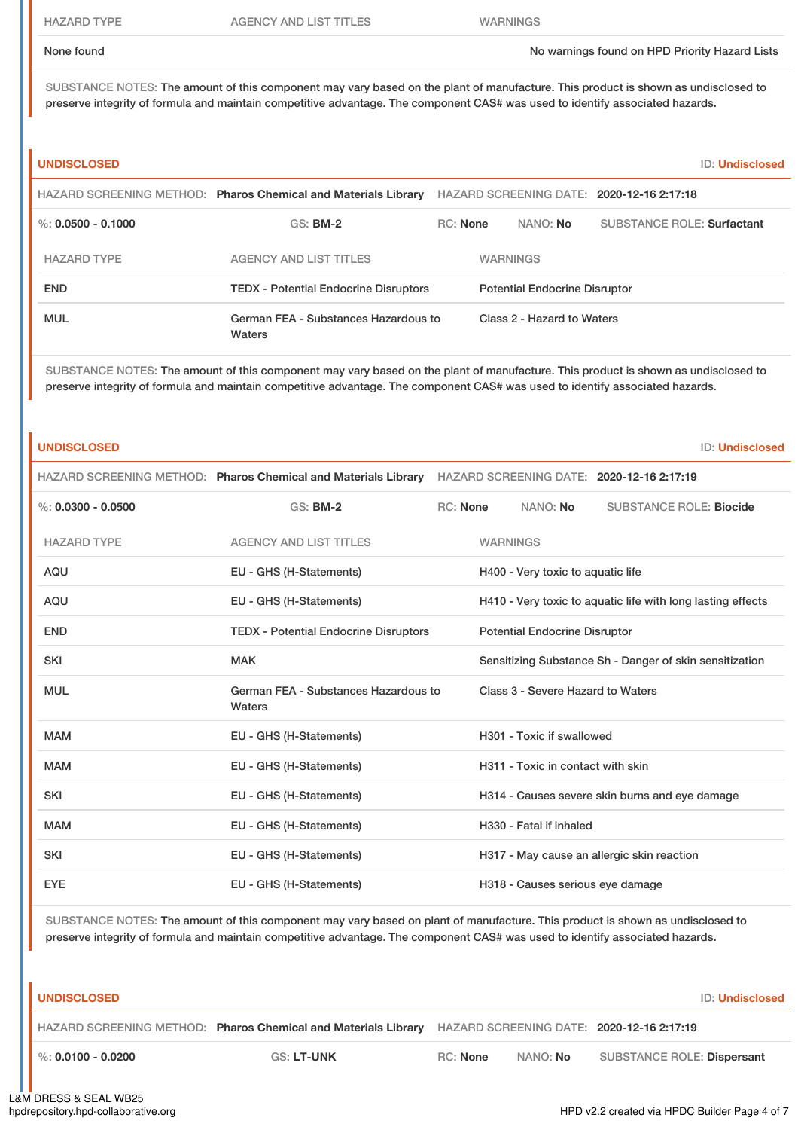HAZARD TYPE AGENCY AND LIST TITLES WARNINGS

None found Now arrings found on HPD Priority Hazard Lists

SUBSTANCE NOTES: The amount of this component may vary based on the plant of manufacture. This product is shown as undisclosed to preserve integrity of formula and maintain competitive advantage. The component CAS# was used to identify associated hazards.

| <b>UNDISCLOSED</b>   |                                                                |                 |                                      | <b>ID: Undisclosed</b>                    |
|----------------------|----------------------------------------------------------------|-----------------|--------------------------------------|-------------------------------------------|
|                      | HAZARD SCREENING METHOD: Pharos Chemical and Materials Library |                 |                                      | HAZARD SCREENING DATE: 2020-12-16 2:17:18 |
| %: $0.0500 - 0.1000$ | <b>GS: BM-2</b>                                                | <b>RC:</b> None | NANO: No                             | <b>SUBSTANCE ROLE: Surfactant</b>         |
| <b>HAZARD TYPE</b>   | AGENCY AND LIST TITLES                                         |                 | <b>WARNINGS</b>                      |                                           |
| <b>END</b>           | <b>TEDX</b> - Potential Endocrine Disruptors                   |                 | <b>Potential Endocrine Disruptor</b> |                                           |
| <b>MUL</b>           | German FEA - Substances Hazardous to<br>Waters                 |                 | Class 2 - Hazard to Waters           |                                           |

SUBSTANCE NOTES: The amount of this component may vary based on the plant of manufacture. This product is shown as undisclosed to preserve integrity of formula and maintain competitive advantage. The component CAS# was used to identify associated hazards.

|                      | HAZARD SCREENING METHOD: Pharos Chemical and Materials Library HAZARD SCREENING DATE: 2020-12-16 2:17:19 |                 |                 |                                      |                                                             |
|----------------------|----------------------------------------------------------------------------------------------------------|-----------------|-----------------|--------------------------------------|-------------------------------------------------------------|
| %: $0.0300 - 0.0500$ | <b>GS: BM-2</b>                                                                                          | <b>RC: None</b> |                 | NANO: No                             | <b>SUBSTANCE ROLE: Biocide</b>                              |
| <b>HAZARD TYPE</b>   | <b>AGENCY AND LIST TITLES</b>                                                                            |                 | <b>WARNINGS</b> |                                      |                                                             |
| <b>AQU</b>           | EU - GHS (H-Statements)                                                                                  |                 |                 | H400 - Very toxic to aquatic life    |                                                             |
| <b>AQU</b>           | EU - GHS (H-Statements)                                                                                  |                 |                 |                                      | H410 - Very toxic to aquatic life with long lasting effects |
| <b>END</b>           | <b>TEDX - Potential Endocrine Disruptors</b>                                                             |                 |                 | <b>Potential Endocrine Disruptor</b> |                                                             |
| <b>SKI</b>           | <b>MAK</b>                                                                                               |                 |                 |                                      | Sensitizing Substance Sh - Danger of skin sensitization     |
| <b>MUL</b>           | German FEA - Substances Hazardous to<br>Waters                                                           |                 |                 | Class 3 - Severe Hazard to Waters    |                                                             |
| <b>MAM</b>           | EU - GHS (H-Statements)                                                                                  |                 |                 | H301 - Toxic if swallowed            |                                                             |
| <b>MAM</b>           | EU - GHS (H-Statements)                                                                                  |                 |                 | H311 - Toxic in contact with skin    |                                                             |
| <b>SKI</b>           | EU - GHS (H-Statements)                                                                                  |                 |                 |                                      | H314 - Causes severe skin burns and eye damage              |
| <b>MAM</b>           | EU - GHS (H-Statements)                                                                                  |                 |                 | H330 - Fatal if inhaled              |                                                             |
| <b>SKI</b>           | EU - GHS (H-Statements)                                                                                  |                 |                 |                                      | H317 - May cause an allergic skin reaction                  |
| <b>EYE</b>           | EU - GHS (H-Statements)                                                                                  |                 |                 | H318 - Causes serious eye damage     |                                                             |

SUBSTANCE NOTES: The amount of this component may vary based on plant of manufacture. This product is shown as undisclosed to preserve integrity of formula and maintain competitive advantage. The component CAS# was used to identify associated hazards.

**UNDISCLOSED** ID: **Undisclosed**

**ID: Undisclosed** 

HAZARD SCREENING METHOD: **Pharos Chemical and Materials Library** HAZARD SCREENING DATE: **2020-12-16 2:17:19**

%: **0.0100 - 0.0200** GS: **LT-UNK** RC: **None** NANO: **No** SUBSTANCE ROLE: **Dispersant**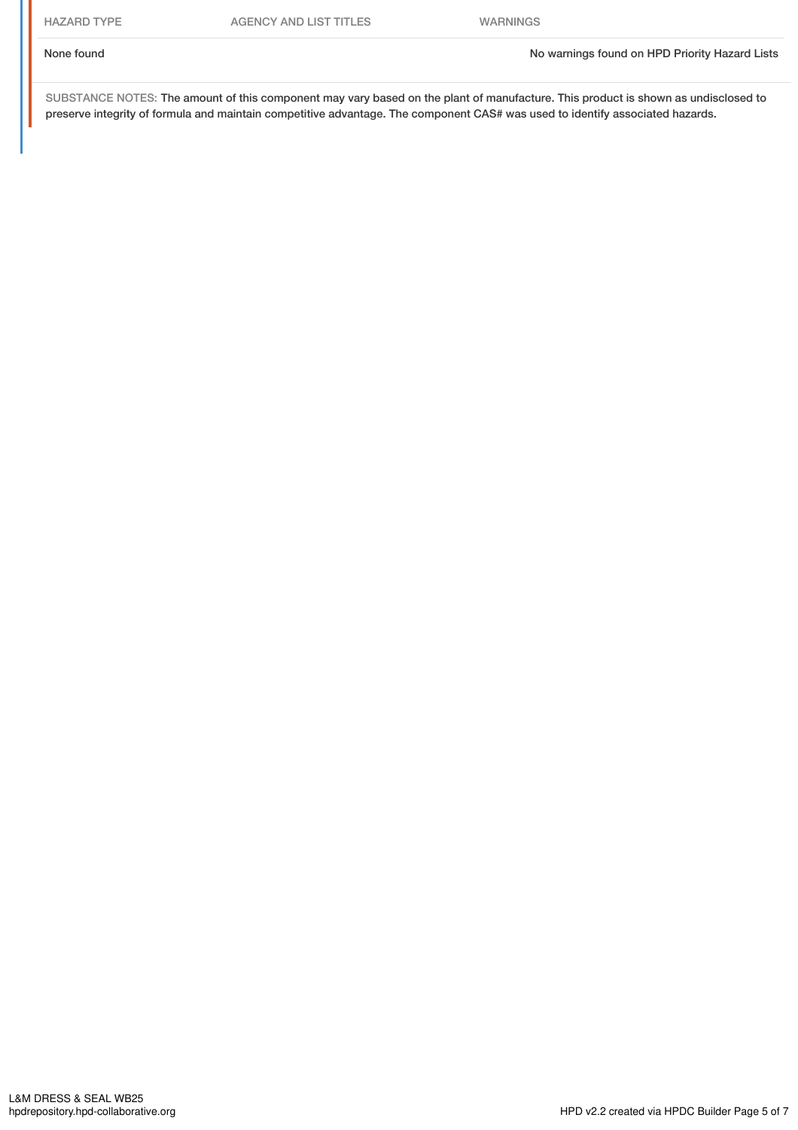None found Now the Priority Hazard Lists and No warnings found on HPD Priority Hazard Lists

SUBSTANCE NOTES: The amount of this component may vary based on the plant of manufacture. This product is shown as undisclosed to preserve integrity of formula and maintain competitive advantage. The component CAS# was used to identify associated hazards.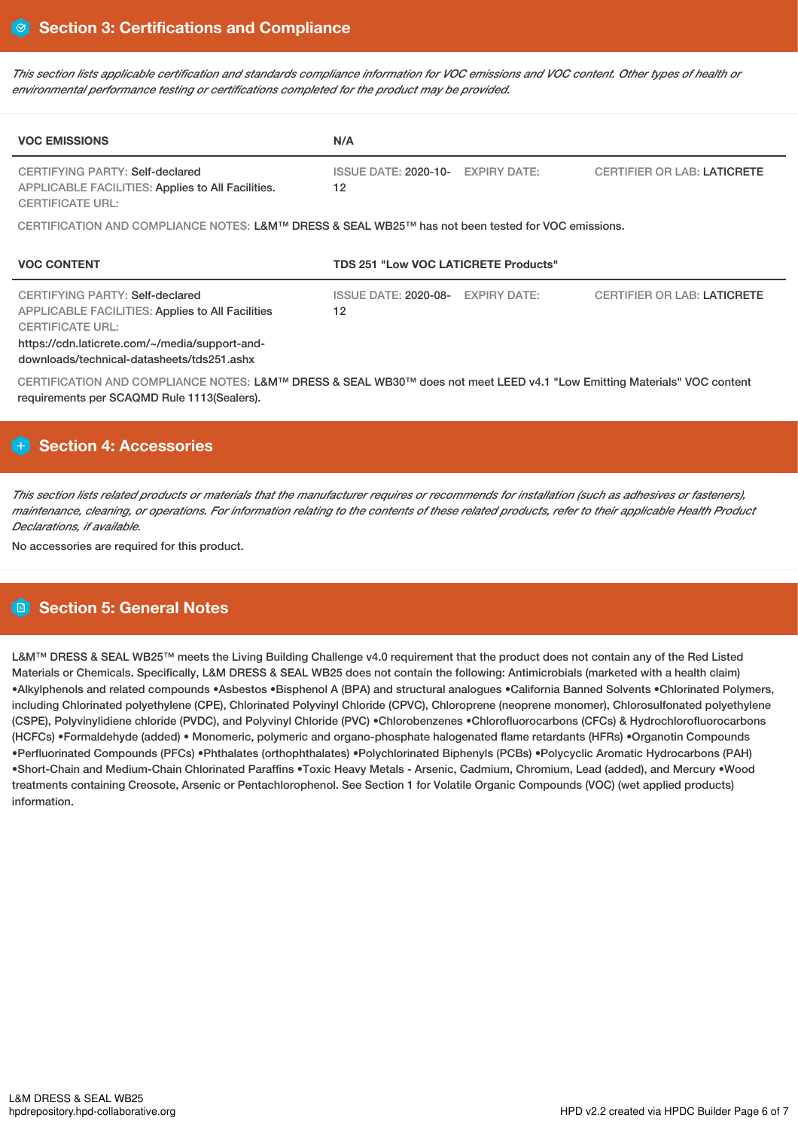This section lists applicable certification and standards compliance information for VOC emissions and VOC content. Other types of health or *environmental performance testing or certifications completed for the product may be provided.*

| <b>VOC EMISSIONS</b>                                                                                                                                                                                                  | N/A                                                                                            |  |  |  |  |
|-----------------------------------------------------------------------------------------------------------------------------------------------------------------------------------------------------------------------|------------------------------------------------------------------------------------------------|--|--|--|--|
| CERTIFYING PARTY: Self-declared<br><b>APPLICABLE FACILITIES: Applies to All Facilities.</b><br><b>CERTIFICATE URL:</b>                                                                                                | <b>ISSUE DATE: 2020-10-</b><br><b>EXPIRY DATE:</b><br><b>CERTIFIER OR LAB: LATICRETE</b><br>12 |  |  |  |  |
| CERTIFICATION AND COMPLIANCE NOTES: L&M™ DRESS & SEAL WB25™ has not been tested for VOC emissions.                                                                                                                    |                                                                                                |  |  |  |  |
| <b>VOC CONTENT</b>                                                                                                                                                                                                    | <b>TDS 251 "Low VOC LATICRETE Products"</b>                                                    |  |  |  |  |
| CERTIFYING PARTY: Self-declared<br><b>APPLICABLE FACILITIES: Applies to All Facilities</b><br><b>CERTIFICATE URL:</b><br>https://cdn.laticrete.com/~/media/support-and-<br>downloads/technical-datasheets/tds251.ashx | <b>ISSUE DATE: 2020-08-</b><br><b>EXPIRY DATE:</b><br><b>CERTIFIER OR LAB: LATICRETE</b><br>12 |  |  |  |  |
| CERTIFICATION AND COMPLIANCE NOTES: L&M™ DRESS & SEAL WB30™ does not meet LEED v4.1 "Low Emitting Materials" VOC content<br>requirements per SCAQMD Rule 1113 (Sealers).                                              |                                                                                                |  |  |  |  |

# **H** Section 4: Accessories

This section lists related products or materials that the manufacturer requires or recommends for installation (such as adhesives or fasteners), maintenance, cleaning, or operations. For information relating to the contents of these related products, refer to their applicable Health Product *Declarations, if available.*

No accessories are required for this product.

# **Section 5: General Notes**

L&M™ DRESS & SEAL WB25™ meets the Living Building Challenge v4.0 requirement that the product does not contain any of the Red Listed Materials or Chemicals. Specifically, L&M DRESS & SEAL WB25 does not contain the following: Antimicrobials (marketed with a health claim) •Alkylphenols and related compounds •Asbestos •Bisphenol A (BPA) and structural analogues •California Banned Solvents •Chlorinated Polymers, including Chlorinated polyethylene (CPE), Chlorinated Polyvinyl Chloride (CPVC), Chloroprene (neoprene monomer), Chlorosulfonated polyethylene (CSPE), Polyvinylidiene chloride (PVDC), and Polyvinyl Chloride (PVC) •Chlorobenzenes •Chlorofluorocarbons (CFCs) & Hydrochlorofluorocarbons (HCFCs) •Formaldehyde (added) • Monomeric, polymeric and organo-phosphate halogenated flame retardants (HFRs) •Organotin Compounds •Perfluorinated Compounds (PFCs) •Phthalates (orthophthalates) •Polychlorinated Biphenyls (PCBs) •Polycyclic Aromatic Hydrocarbons (PAH) •Short-Chain and Medium-Chain Chlorinated Paraffins •Toxic Heavy Metals - Arsenic, Cadmium, Chromium, Lead (added), and Mercury •Wood treatments containing Creosote, Arsenic or Pentachlorophenol. See Section 1 for Volatile Organic Compounds (VOC) (wet applied products) information.